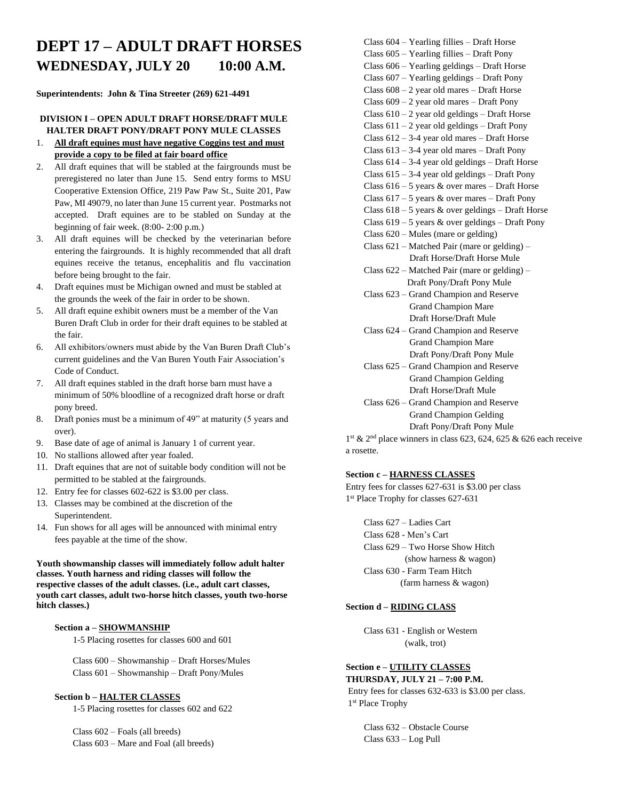# **DEPT 17 – ADULT DRAFT HORSES WEDNESDAY, JULY 20 10:00 A.M.**

**Superintendents: John & Tina Streeter (269) 621-4491**

#### **DIVISION I – OPEN ADULT DRAFT HORSE/DRAFT MULE HALTER DRAFT PONY/DRAFT PONY MULE CLASSES**

- 1. **All draft equines must have negative Coggins test and must provide a copy to be filed at fair board office**
- 2. All draft equines that will be stabled at the fairgrounds must be preregistered no later than June 15. Send entry forms to MSU Cooperative Extension Office, 219 Paw Paw St., Suite 201, Paw Paw, MI 49079, no later than June 15 current year. Postmarks not accepted. Draft equines are to be stabled on Sunday at the beginning of fair week. (8:00- 2:00 p.m.)
- 3. All draft equines will be checked by the veterinarian before entering the fairgrounds. It is highly recommended that all draft equines receive the tetanus, encephalitis and flu vaccination before being brought to the fair.
- 4. Draft equines must be Michigan owned and must be stabled at the grounds the week of the fair in order to be shown.
- 5. All draft equine exhibit owners must be a member of the Van Buren Draft Club in order for their draft equines to be stabled at the fair.
- 6. All exhibitors/owners must abide by the Van Buren Draft Club's current guidelines and the Van Buren Youth Fair Association's Code of Conduct.
- 7. All draft equines stabled in the draft horse barn must have a minimum of 50% bloodline of a recognized draft horse or draft pony breed.
- 8. Draft ponies must be a minimum of 49" at maturity (5 years and over).
- 9. Base date of age of animal is January 1 of current year.
- 10. No stallions allowed after year foaled.
- 11. Draft equines that are not of suitable body condition will not be permitted to be stabled at the fairgrounds.
- 12. Entry fee for classes 602-622 is \$3.00 per class.
- 13. Classes may be combined at the discretion of the Superintendent.
- 14. Fun shows for all ages will be announced with minimal entry fees payable at the time of the show.

**Youth showmanship classes will immediately follow adult halter classes. Youth harness and riding classes will follow the respective classes of the adult classes. (i.e., adult cart classes, youth cart classes, adult two-horse hitch classes, youth two-horse hitch classes.)** 

#### **Section a – SHOWMANSHIP**

1-5 Placing rosettes for classes 600 and 601

Class 600 – Showmanship – Draft Horses/Mules Class 601 – Showmanship – Draft Pony/Mules

#### **Section b – HALTER CLASSES**

1-5 Placing rosettes for classes 602 and 622

Class 602 – Foals (all breeds) Class 603 – Mare and Foal (all breeds)

- Class 604 Yearling fillies Draft Horse
- Class 605 Yearling fillies Draft Pony
- Class 606 Yearling geldings Draft Horse
- Class 607 Yearling geldings Draft Pony
- Class 608 2 year old mares Draft Horse
- Class 609 2 year old mares Draft Pony Class  $610 - 2$  year old geldings – Draft Horse
- Class  $611 2$  year old geldings Draft Pony
- Class 612 3-4 year old mares Draft Horse
- Class 613 3-4 year old mares Draft Pony
- Class 614 3-4 year old geldings Draft Horse
- Class  $615 3-4$  year old geldings Draft Pony
- Class  $616 5$  years & over mares Draft Horse
- Class  $617 5$  years & over mares Draft Pony
- Class 618 5 years & over geldings Draft Horse
- Class  $619 5$  years & over geldings Draft Pony
- Class 620 Mules (mare or gelding)
- Class 621 Matched Pair (mare or gelding) Draft Horse/Draft Horse Mule
- Class 622 Matched Pair (mare or gelding) Draft Pony/Draft Pony Mule
- Class 623 Grand Champion and Reserve Grand Champion Mare Draft Horse/Draft Mule
- Class 624 Grand Champion and Reserve Grand Champion Mare Draft Pony/Draft Pony Mule
- Class 625 Grand Champion and Reserve Grand Champion Gelding Draft Horse/Draft Mule
- Class 626 Grand Champion and Reserve Grand Champion Gelding Draft Pony/Draft Pony Mule

1 st & 2nd place winners in class 623, 624, 625 & 626 each receive a rosette.

#### **Section c – HARNESS CLASSES**

Entry fees for classes 627-631 is \$3.00 per class 1 st Place Trophy for classes 627-631

Class 627 – Ladies Cart Class 628 - Men's Cart Class 629 – Two Horse Show Hitch (show harness & wagon) Class 630 - Farm Team Hitch (farm harness & wagon)

#### **Section d – RIDING CLASS**

Class 631 - English or Western (walk, trot)

### **Section e – UTILITY CLASSES**

 **THURSDAY, JULY 21 – 7:00 P.M.** Entry fees for classes 632-633 is \$3.00 per class. 1 st Place Trophy

> Class 632 – Obstacle Course Class 633 – Log Pull